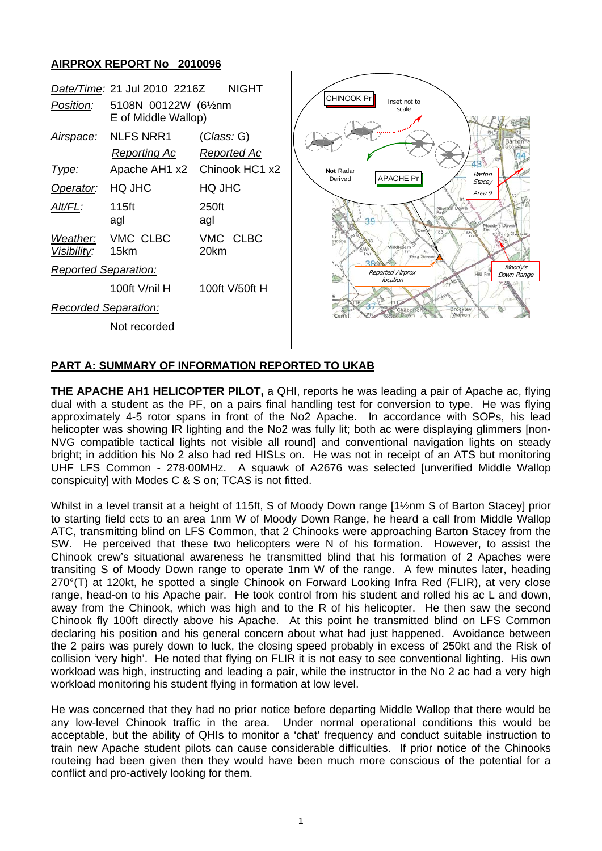## **AIRPROX REPORT No 2010096**



## **PART A: SUMMARY OF INFORMATION REPORTED TO UKAB**

**THE APACHE AH1 HELICOPTER PILOT,** a QHI, reports he was leading a pair of Apache ac, flying dual with a student as the PF, on a pairs final handling test for conversion to type. He was flying approximately 4-5 rotor spans in front of the No2 Apache. In accordance with SOPs, his lead helicopter was showing IR lighting and the No2 was fully lit; both ac were displaying glimmers [non-NVG compatible tactical lights not visible all round] and conventional navigation lights on steady bright; in addition his No 2 also had red HISLs on. He was not in receipt of an ATS but monitoring UHF LFS Common - 278·00MHz. A squawk of A2676 was selected [unverified Middle Wallop conspicuity] with Modes C & S on; TCAS is not fitted.

Whilst in a level transit at a height of 115ft, S of Moody Down range [1½nm S of Barton Stacey] prior to starting field ccts to an area 1nm W of Moody Down Range, he heard a call from Middle Wallop ATC, transmitting blind on LFS Common, that 2 Chinooks were approaching Barton Stacey from the SW. He perceived that these two helicopters were N of his formation. However, to assist the Chinook crew's situational awareness he transmitted blind that his formation of 2 Apaches were transiting S of Moody Down range to operate 1nm W of the range. A few minutes later, heading 270°(T) at 120kt, he spotted a single Chinook on Forward Looking Infra Red (FLIR), at very close range, head-on to his Apache pair. He took control from his student and rolled his ac L and down, away from the Chinook, which was high and to the R of his helicopter. He then saw the second Chinook fly 100ft directly above his Apache. At this point he transmitted blind on LFS Common declaring his position and his general concern about what had just happened. Avoidance between the 2 pairs was purely down to luck, the closing speed probably in excess of 250kt and the Risk of collision 'very high'. He noted that flying on FLIR it is not easy to see conventional lighting. His own workload was high, instructing and leading a pair, while the instructor in the No 2 ac had a very high workload monitoring his student flying in formation at low level.

He was concerned that they had no prior notice before departing Middle Wallop that there would be any low-level Chinook traffic in the area. Under normal operational conditions this would be acceptable, but the ability of QHIs to monitor a 'chat' frequency and conduct suitable instruction to train new Apache student pilots can cause considerable difficulties. If prior notice of the Chinooks routeing had been given then they would have been much more conscious of the potential for a conflict and pro-actively looking for them.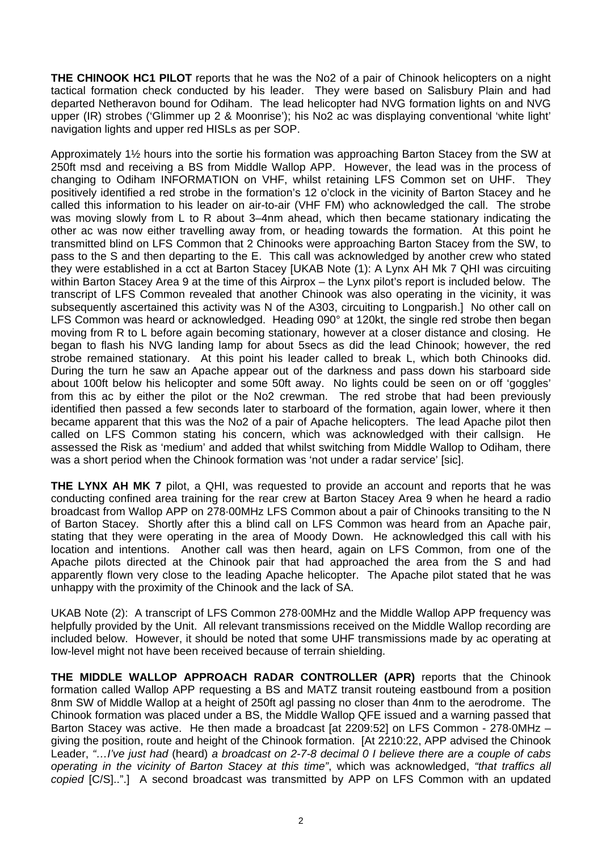**THE CHINOOK HC1 PILOT** reports that he was the No2 of a pair of Chinook helicopters on a night tactical formation check conducted by his leader. They were based on Salisbury Plain and had departed Netheravon bound for Odiham. The lead helicopter had NVG formation lights on and NVG upper (IR) strobes ('Glimmer up 2 & Moonrise'); his No2 ac was displaying conventional 'white light' navigation lights and upper red HISLs as per SOP.

Approximately 1½ hours into the sortie his formation was approaching Barton Stacey from the SW at 250ft msd and receiving a BS from Middle Wallop APP. However, the lead was in the process of changing to Odiham INFORMATION on VHF, whilst retaining LFS Common set on UHF. They positively identified a red strobe in the formation's 12 o'clock in the vicinity of Barton Stacey and he called this information to his leader on air-to-air (VHF FM) who acknowledged the call. The strobe was moving slowly from L to R about 3–4nm ahead, which then became stationary indicating the other ac was now either travelling away from, or heading towards the formation. At this point he transmitted blind on LFS Common that 2 Chinooks were approaching Barton Stacey from the SW, to pass to the S and then departing to the E. This call was acknowledged by another crew who stated they were established in a cct at Barton Stacey [UKAB Note (1): A Lynx AH Mk 7 QHI was circuiting within Barton Stacey Area 9 at the time of this Airprox – the Lynx pilot's report is included below. The transcript of LFS Common revealed that another Chinook was also operating in the vicinity, it was subsequently ascertained this activity was N of the A303, circuiting to Longparish.] No other call on LFS Common was heard or acknowledged. Heading 090° at 120kt, the single red strobe then began moving from R to L before again becoming stationary, however at a closer distance and closing. He began to flash his NVG landing lamp for about 5secs as did the lead Chinook; however, the red strobe remained stationary. At this point his leader called to break L, which both Chinooks did. During the turn he saw an Apache appear out of the darkness and pass down his starboard side about 100ft below his helicopter and some 50ft away. No lights could be seen on or off 'goggles' from this ac by either the pilot or the No2 crewman. The red strobe that had been previously identified then passed a few seconds later to starboard of the formation, again lower, where it then became apparent that this was the No2 of a pair of Apache helicopters. The lead Apache pilot then called on LFS Common stating his concern, which was acknowledged with their callsign. He assessed the Risk as 'medium' and added that whilst switching from Middle Wallop to Odiham, there was a short period when the Chinook formation was 'not under a radar service' [sic].

**THE LYNX AH MK 7** pilot, a QHI, was requested to provide an account and reports that he was conducting confined area training for the rear crew at Barton Stacey Area 9 when he heard a radio broadcast from Wallop APP on 278·00MHz LFS Common about a pair of Chinooks transiting to the N of Barton Stacey. Shortly after this a blind call on LFS Common was heard from an Apache pair, stating that they were operating in the area of Moody Down. He acknowledged this call with his location and intentions. Another call was then heard, again on LFS Common, from one of the Apache pilots directed at the Chinook pair that had approached the area from the S and had apparently flown very close to the leading Apache helicopter. The Apache pilot stated that he was unhappy with the proximity of the Chinook and the lack of SA.

UKAB Note (2): A transcript of LFS Common 278·00MHz and the Middle Wallop APP frequency was helpfully provided by the Unit. All relevant transmissions received on the Middle Wallop recording are included below. However, it should be noted that some UHF transmissions made by ac operating at low-level might not have been received because of terrain shielding.

**THE MIDDLE WALLOP APPROACH RADAR CONTROLLER (APR)** reports that the Chinook formation called Wallop APP requesting a BS and MATZ transit routeing eastbound from a position 8nm SW of Middle Wallop at a height of 250ft agl passing no closer than 4nm to the aerodrome. The Chinook formation was placed under a BS, the Middle Wallop QFE issued and a warning passed that Barton Stacey was active. He then made a broadcast [at 2209:52] on LFS Common - 278·0MHz – giving the position, route and height of the Chinook formation. [At 2210:22, APP advised the Chinook Leader, *"…I've just had* (heard) *a broadcast on 2-7-8 decimal 0 I believe there are a couple of cabs operating in the vicinity of Barton Stacey at this time"*, which was acknowledged, *"that traffics all copied* [C/S]..".] A second broadcast was transmitted by APP on LFS Common with an updated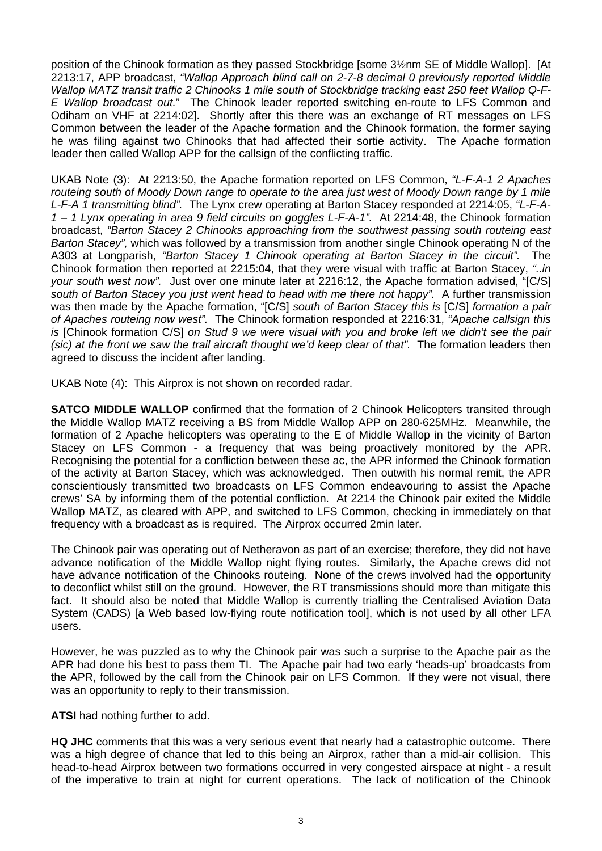position of the Chinook formation as they passed Stockbridge [some 3½nm SE of Middle Wallop]. [At 2213:17, APP broadcast, *"Wallop Approach blind call on 2-7-8 decimal 0 previously reported Middle Wallop MATZ transit traffic 2 Chinooks 1 mile south of Stockbridge tracking east 250 feet Wallop Q-F-E Wallop broadcast out.*" The Chinook leader reported switching en-route to LFS Common and Odiham on VHF at 2214:02]. Shortly after this there was an exchange of RT messages on LFS Common between the leader of the Apache formation and the Chinook formation, the former saying he was filing against two Chinooks that had affected their sortie activity. The Apache formation leader then called Wallop APP for the callsign of the conflicting traffic.

UKAB Note (3): At 2213:50, the Apache formation reported on LFS Common, *"L-F-A-1 2 Apaches routeing south of Moody Down range to operate to the area just west of Moody Down range by 1 mile L-F-A 1 transmitting blind".* The Lynx crew operating at Barton Stacey responded at 2214:05, *"L-F-A-1 – 1 Lynx operating in area 9 field circuits on goggles L-F-A-1".* At 2214:48, the Chinook formation broadcast, *"Barton Stacey 2 Chinooks approaching from the southwest passing south routeing east Barton Stacey",* which was followed by a transmission from another single Chinook operating N of the A303 at Longparish, *"Barton Stacey 1 Chinook operating at Barton Stacey in the circuit".* The Chinook formation then reported at 2215:04, that they were visual with traffic at Barton Stacey, *"..in your south west now".* Just over one minute later at 2216:12, the Apache formation advised, "[C/S] *south of Barton Stacey you just went head to head with me there not happy".* A further transmission was then made by the Apache formation, "[C/S] *south of Barton Stacey this is* [C/S] *formation a pair of Apaches routeing now west".* The Chinook formation responded at 2216:31, *"Apache callsign this is* [Chinook formation C/S] *on Stud 9 we were visual with you and broke left we didn't see the pair (sic) at the front we saw the trail aircraft thought we'd keep clear of that".* The formation leaders then agreed to discuss the incident after landing.

UKAB Note (4): This Airprox is not shown on recorded radar.

**SATCO MIDDLE WALLOP** confirmed that the formation of 2 Chinook Helicopters transited through the Middle Wallop MATZ receiving a BS from Middle Wallop APP on 280·625MHz. Meanwhile, the formation of 2 Apache helicopters was operating to the E of Middle Wallop in the vicinity of Barton Stacey on LFS Common - a frequency that was being proactively monitored by the APR. Recognising the potential for a confliction between these ac, the APR informed the Chinook formation of the activity at Barton Stacey, which was acknowledged. Then outwith his normal remit, the APR conscientiously transmitted two broadcasts on LFS Common endeavouring to assist the Apache crews' SA by informing them of the potential confliction. At 2214 the Chinook pair exited the Middle Wallop MATZ, as cleared with APP, and switched to LFS Common, checking in immediately on that frequency with a broadcast as is required. The Airprox occurred 2min later.

The Chinook pair was operating out of Netheravon as part of an exercise; therefore, they did not have advance notification of the Middle Wallop night flying routes. Similarly, the Apache crews did not have advance notification of the Chinooks routeing. None of the crews involved had the opportunity to deconflict whilst still on the ground. However, the RT transmissions should more than mitigate this fact. It should also be noted that Middle Wallop is currently trialling the Centralised Aviation Data System (CADS) [a Web based low-flying route notification tool], which is not used by all other LFA users.

However, he was puzzled as to why the Chinook pair was such a surprise to the Apache pair as the APR had done his best to pass them TI. The Apache pair had two early 'heads-up' broadcasts from the APR, followed by the call from the Chinook pair on LFS Common. If they were not visual, there was an opportunity to reply to their transmission.

**ATSI** had nothing further to add.

**HQ JHC** comments that this was a very serious event that nearly had a catastrophic outcome. There was a high degree of chance that led to this being an Airprox, rather than a mid-air collision. This head-to-head Airprox between two formations occurred in very congested airspace at night - a result of the imperative to train at night for current operations. The lack of notification of the Chinook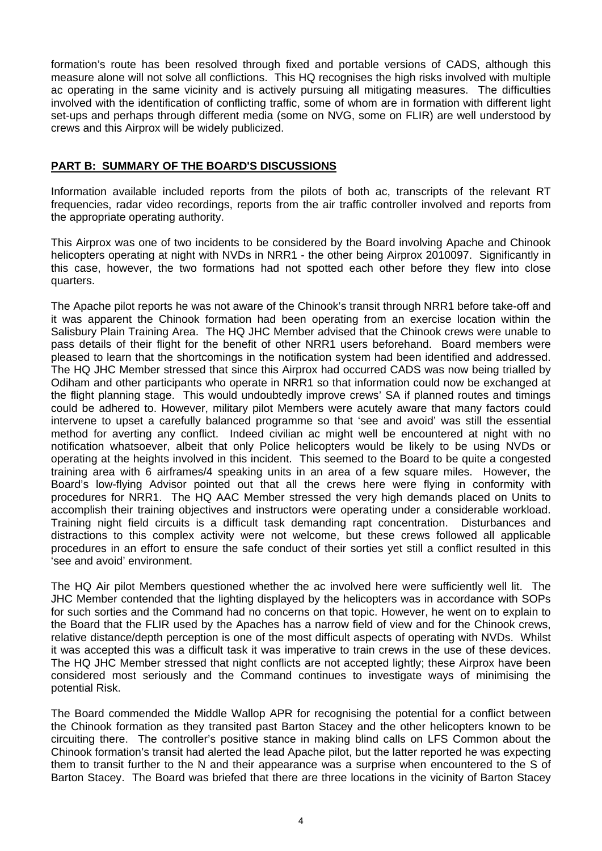formation's route has been resolved through fixed and portable versions of CADS, although this measure alone will not solve all conflictions. This HQ recognises the high risks involved with multiple ac operating in the same vicinity and is actively pursuing all mitigating measures. The difficulties involved with the identification of conflicting traffic, some of whom are in formation with different light set-ups and perhaps through different media (some on NVG, some on FLIR) are well understood by crews and this Airprox will be widely publicized.

## **PART B: SUMMARY OF THE BOARD'S DISCUSSIONS**

Information available included reports from the pilots of both ac, transcripts of the relevant RT frequencies, radar video recordings, reports from the air traffic controller involved and reports from the appropriate operating authority.

This Airprox was one of two incidents to be considered by the Board involving Apache and Chinook helicopters operating at night with NVDs in NRR1 - the other being Airprox 2010097. Significantly in this case, however, the two formations had not spotted each other before they flew into close quarters.

The Apache pilot reports he was not aware of the Chinook's transit through NRR1 before take-off and it was apparent the Chinook formation had been operating from an exercise location within the Salisbury Plain Training Area. The HQ JHC Member advised that the Chinook crews were unable to pass details of their flight for the benefit of other NRR1 users beforehand. Board members were pleased to learn that the shortcomings in the notification system had been identified and addressed. The HQ JHC Member stressed that since this Airprox had occurred CADS was now being trialled by Odiham and other participants who operate in NRR1 so that information could now be exchanged at the flight planning stage. This would undoubtedly improve crews' SA if planned routes and timings could be adhered to. However, military pilot Members were acutely aware that many factors could intervene to upset a carefully balanced programme so that 'see and avoid' was still the essential method for averting any conflict. Indeed civilian ac might well be encountered at night with no notification whatsoever, albeit that only Police helicopters would be likely to be using NVDs or operating at the heights involved in this incident. This seemed to the Board to be quite a congested training area with 6 airframes/4 speaking units in an area of a few square miles. However, the Board's low-flying Advisor pointed out that all the crews here were flying in conformity with procedures for NRR1. The HQ AAC Member stressed the very high demands placed on Units to accomplish their training objectives and instructors were operating under a considerable workload. Training night field circuits is a difficult task demanding rapt concentration. Disturbances and distractions to this complex activity were not welcome, but these crews followed all applicable procedures in an effort to ensure the safe conduct of their sorties yet still a conflict resulted in this 'see and avoid' environment.

The HQ Air pilot Members questioned whether the ac involved here were sufficiently well lit. The JHC Member contended that the lighting displayed by the helicopters was in accordance with SOPs for such sorties and the Command had no concerns on that topic. However, he went on to explain to the Board that the FLIR used by the Apaches has a narrow field of view and for the Chinook crews, relative distance/depth perception is one of the most difficult aspects of operating with NVDs. Whilst it was accepted this was a difficult task it was imperative to train crews in the use of these devices. The HQ JHC Member stressed that night conflicts are not accepted lightly; these Airprox have been considered most seriously and the Command continues to investigate ways of minimising the potential Risk.

The Board commended the Middle Wallop APR for recognising the potential for a conflict between the Chinook formation as they transited past Barton Stacey and the other helicopters known to be circuiting there. The controller's positive stance in making blind calls on LFS Common about the Chinook formation's transit had alerted the lead Apache pilot, but the latter reported he was expecting them to transit further to the N and their appearance was a surprise when encountered to the S of Barton Stacey. The Board was briefed that there are three locations in the vicinity of Barton Stacey